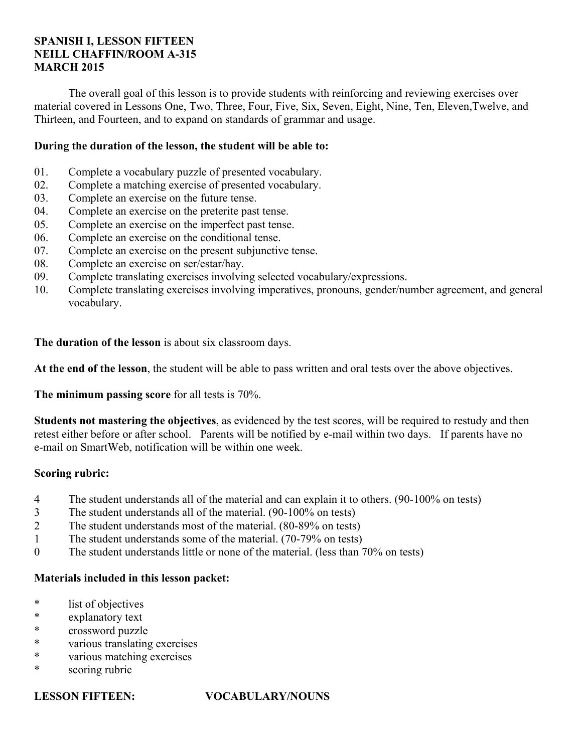# **SPANISH I, LESSON FIFTEEN NEILL CHAFFIN/ROOM A-315 MARCH 2015**

 The overall goal of this lesson is to provide students with reinforcing and reviewing exercises over material covered in Lessons One, Two, Three, Four, Five, Six, Seven, Eight, Nine, Ten, Eleven,Twelve, and Thirteen, and Fourteen, and to expand on standards of grammar and usage.

# **During the duration of the lesson, the student will be able to:**

- 01. Complete a vocabulary puzzle of presented vocabulary.
- 02. Complete a matching exercise of presented vocabulary.
- 03. Complete an exercise on the future tense.
- 04. Complete an exercise on the preterite past tense.
- 05. Complete an exercise on the imperfect past tense.
- 06. Complete an exercise on the conditional tense.
- 07. Complete an exercise on the present subjunctive tense.
- 08. Complete an exercise on ser/estar/hay.
- 09. Complete translating exercises involving selected vocabulary/expressions.
- 10. Complete translating exercises involving imperatives, pronouns, gender/number agreement, and general vocabulary.

**The duration of the lesson** is about six classroom days.

**At the end of the lesson**, the student will be able to pass written and oral tests over the above objectives.

**The minimum passing score** for all tests is 70%.

**Students not mastering the objectives**, as evidenced by the test scores, will be required to restudy and then retest either before or after school. Parents will be notified by e-mail within two days. If parents have no e-mail on SmartWeb, notification will be within one week.

# **Scoring rubric:**

- 4 The student understands all of the material and can explain it to others. (90-100% on tests)
- 3 The student understands all of the material. (90-100% on tests)
- 2 The student understands most of the material. (80-89% on tests)
- 1 The student understands some of the material. (70-79% on tests)
- 0 The student understands little or none of the material. (less than 70% on tests)

# **Materials included in this lesson packet:**

- \* list of objectives
- \* explanatory text
- \* crossword puzzle
- \* various translating exercises
- \* various matching exercises
- \* scoring rubric

# **LESSON FIFTEEN: VOCABULARY/NOUNS**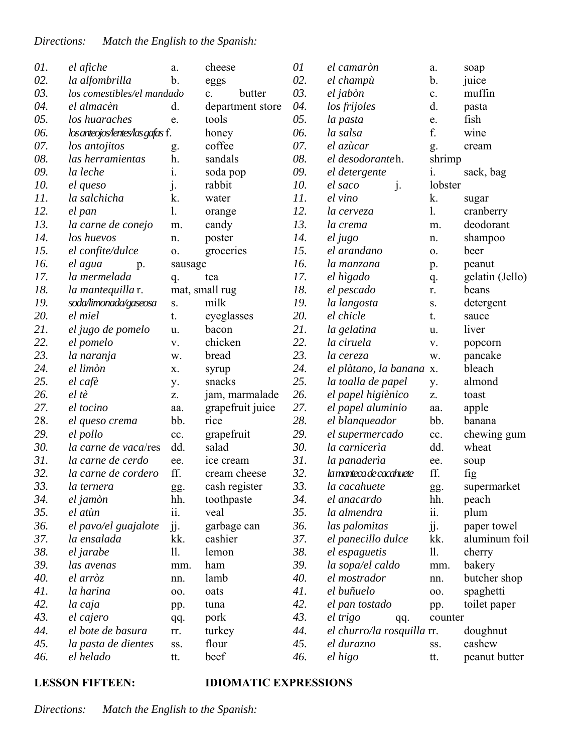| 01. | el afiche                        | a.             | cheese                   | 01  | el camaròn                 | a.          | soap            |
|-----|----------------------------------|----------------|--------------------------|-----|----------------------------|-------------|-----------------|
| 02. | la alfombrilla                   | b.             | eggs                     | 02. | el champù                  | b.          | juice           |
| 03. | los comestibles/el mandado       |                | butter<br>$\mathbf{c}$ . | 03. | el jabòn                   | c.          | muffin          |
| 04. | el almacèn                       | d.             | department store         | 04. | los frijoles               | d.          | pasta           |
| 05. | los huaraches                    | e.             | tools                    | 05. | la pasta                   | e.          | fish            |
| 06. | los anteojos lentes las gafas f. |                | honey                    | 06. | la salsa                   | f.          | wine            |
| 07. | los antojitos                    | g.             | coffee                   | 07. | el azùcar                  | g.          | cream           |
| 08. | las herramientas                 | h.             | sandals                  | 08. | el desodoranteh.           | shrimp      |                 |
| 09. | la leche                         | $\mathbf{i}$ . | soda pop                 | 09. | el detergente              | 1.          | sack, bag       |
| 10. | el queso                         | $\mathbf{j}$ . | rabbit                   | 10. | $\mathbf{j}$ .<br>el saco  | lobster     |                 |
| 11. | la salchicha                     | k.             | water                    | 11. | el vino                    | k.          | sugar           |
| 12. | el pan                           | 1.             | orange                   | 12. | la cerveza                 | 1.          | cranberry       |
| 13. | la carne de conejo               | m.             | candy                    | 13. | la crema                   | m.          | deodorant       |
| 14. | los huevos                       | n.             | poster                   | 14. | el jugo                    | n.          | shampoo         |
| 15. | el confite/dulce                 | 0.             | groceries                | 15. | el arandano                | 0.          | beer            |
| 16. | el agua<br>p.                    | sausage        |                          | 16. | la manzana                 | p.          | peanut          |
| 17. | la mermelada                     | q.             | tea                      | 17. | el hìgado                  | q.          | gelatin (Jello) |
| 18. | la mantequilla r.                |                | mat, small rug           | 18. | el pescado                 | r.          | beans           |
| 19. | soda/limonada/gaseosa            | S.             | milk                     | 19. | la langosta                | ${\bf S}$ . | detergent       |
| 20. | el miel                          | t.             | eyeglasses               | 20. | el chicle                  | t.          | sauce           |
| 21. | el jugo de pomelo                | u.             | bacon                    | 21. | la gelatina                | u.          | liver           |
| 22. | el pomelo                        | V.             | chicken                  | 22. | la ciruela                 | V.          | popcorn         |
| 23. | la naranja                       | w.             | bread                    | 23. | la cereza                  | w.          | pancake         |
| 24. | el limòn                         | X.             | syrup                    | 24. | el plàtano, la banana x.   |             | bleach          |
| 25. | el cafè                          | y.             | snacks                   | 25. | la toalla de papel         | y.          | almond          |
| 26. | el tè                            | Z.             | jam, marmalade           | 26. | el papel higiènico         | Z.          | toast           |
| 27. | el tocino                        | aa.            | grapefruit juice         | 27. | el papel aluminio          | aa.         | apple           |
| 28. | el queso crema                   | bb.            | rice                     | 28. | el blanqueador             | bb.         | banana          |
| 29. | el pollo                         | cc.            | grapefruit               | 29. | el supermercado            | cc.         | chewing gum     |
| 30. | la carne de vaca/res             | dd.            | salad                    | 30. | la carnicería              | dd.         | wheat           |
| 31. | la carne de cerdo                | ee.            | ice cream                | 31. | la panaderìa               | ee.         | soup            |
| 32. | la carne de cordero              | ff.            | cream cheese             | 32. | la manteca de cacahuete    | ff.         | fig             |
| 33. | la ternera                       | gg.            | cash register            | 33. | la cacahuete               | gg.         | supermarket     |
| 34. | el jamòn                         | hh.            | toothpaste               | 34. | el anacardo                | hh.         | peach           |
| 35. | el atùn                          | ii.            | veal                     | 35. | la almendra                | ii.         | plum            |
| 36. | el pavo/el guajalote             | jj.            | garbage can              | 36. | las palomitas              | jj.         | paper towel     |
| 37. | la ensalada                      | kk.            | cashier                  | 37. | el panecillo dulce         | kk.         | aluminum foil   |
| 38. | el jarabe                        | 11.            | lemon                    | 38. | el espaguetis              | 11.         | cherry          |
| 39. | las avenas                       | mm.            | ham                      | 39. | la sopa/el caldo           | mm.         | bakery          |
| 40. | el arròz                         | nn.            | lamb                     | 40. | el mostrador               | nn.         | butcher shop    |
| 41. | la harina                        | 00.            | oats                     | 41. | el buñuelo                 | 00.         | spaghetti       |
| 42. | la caja                          | pp.            | tuna                     | 42. | el pan tostado             | pp.         | toilet paper    |
| 43. | el cajero                        | qq.            | pork                     | 43. | el trigo<br>qq.            | counter     |                 |
| 44. | el bote de basura                | rr.            | turkey                   | 44. | el churro/la rosquilla rr. |             | doughnut        |
| 45. | la pasta de dientes              | SS.            | flour                    | 45. | el durazno                 | SS.         | cashew          |
| 46. | el helado                        | tt.            | beef                     | 46. | el higo                    | tt.         | peanut butter   |

# **LESSON FIFTEEN: IDIOMATIC EXPRESSIONS**

*Directions: Match the English to the Spanish:*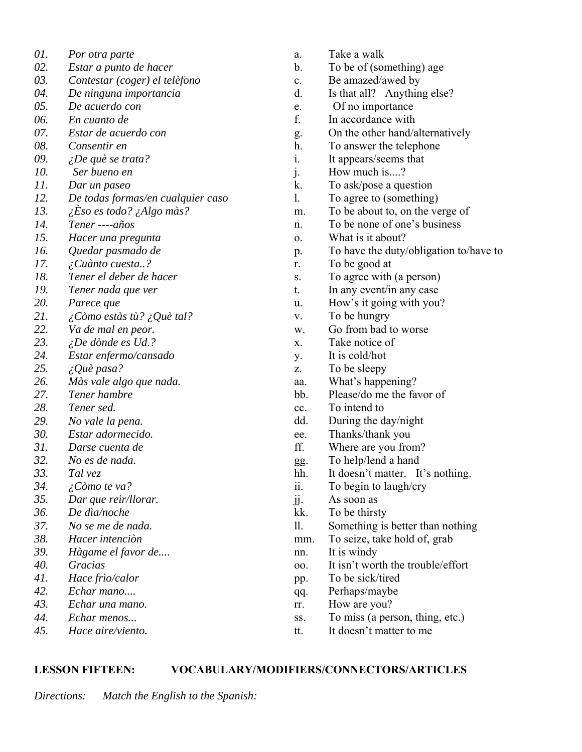| 01. | Por otra parte                              |
|-----|---------------------------------------------|
| 02. | Estar a punto de hacer                      |
| 03. | Contestar (coger) el telèfono               |
| 04. | De ninguna importancia                      |
| 05. | De acuerdo con                              |
| 06. | En cuanto de                                |
| 07. | Estar de acuerdo con                        |
| 08. | Consentir en                                |
| 09. | <i>iDe què se trata?</i>                    |
| 10. | Ser bueno en                                |
| 11. | Dar un paseo                                |
| 12. | De todas formas/en cualquier caso           |
| 13. | $\lambda$ Eso es todo? $\lambda$ Algo màs?  |
| 14. | Tener ---- años                             |
| 15. | Hacer una pregunta                          |
| 16. | Quedar pasmado de                           |
| 17. | <i>i</i> Cuànto cuesta?                     |
| 18. | Tener el deber de hacer                     |
| 19. | Tener nada que ver                          |
| 20. | Parece que                                  |
| 21. | $\lambda$ Còmo estàs tù? $\lambda$ Què tal? |
| 22. | Va de mal en peor.                          |
| 23. | <i>iDe dònde es Ud.?</i>                    |
| 24. | Estar enfermo/cansado                       |
| 25. | $\lambda$ Què pasa?                         |
| 26. | Màs vale algo que nada.                     |
| 27. | Tener hambre                                |
| 28. | Tener sed.                                  |
| 29. | No vale la pena.                            |
| 30. | Estar adormecido.                           |
| 31. | Darse cuenta de                             |
| 32. | No es de nada.                              |
| 33. | Tal vez                                     |
| 34. | ¿Còmo te va?                                |
| 35. | Dar que reir/llorar.                        |
| 36. | De dìa/noche                                |
| 37. | No se me de nada.                           |
| 38. | Hacer intenciòn                             |
| 39. | Hàgame el favor de                          |
| 40. | Gracias                                     |
| 41. | Hace frìo/calor                             |
| 42. | Echar mano                                  |
| 43. | Echar una mano.                             |
| 44. | Echar menos                                 |
| 45. | Hace aire/viento.                           |
|     |                                             |

- a. Take a walk
- b. To be of (something) age
- c. Be amazed/awed by
- d. Is that all? Anything else?
- e. Of no importance
- f. In accordance with
- g. On the other hand/alternatively
- h. To answer the telephone
- i. It appears/seems that
- j. How much is....?
- k. To ask/pose a question
- l. To agree to (something)
- m. To be about to, on the verge of
- n. To be none of one's business
- o. What is it about?
- p. To have the duty/obligation to/have to
- r. To be good at
- s. To agree with (a person)
- t. In any event/in any case
- u. How's it going with you?
- v. To be hungry
- w. Go from bad to worse
- x. Take notice of
- y. It is cold/hot
- z. To be sleepy
- aa. What's happening?
- bb. Please/do me the favor of
- cc. To intend to
- dd. During the day/night
- ee. Thanks/thank you
- ff. Where are you from?
- gg. To help/lend a hand
- hh. It doesn't matter. It's nothing.
- ii. To begin to laugh/cry
- jj. As soon as
- kk. To be thirsty
- ll. Something is better than nothing
- mm. To seize, take hold of, grab
- nn. It is windy
- oo. It isn't worth the trouble/effort
- pp. To be sick/tired
- qq. Perhaps/maybe
- rr. How are you?
- ss. To miss (a person, thing, etc.)
- tt. It doesn't matter to me

# **LESSON FIFTEEN: VOCABULARY/MODIFIERS/CONNECTORS/ARTICLES**

*Directions: Match the English to the Spanish:*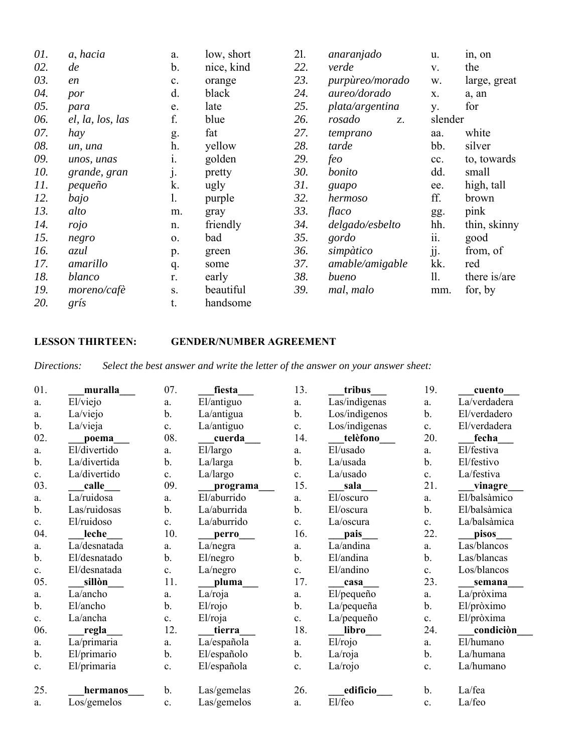| 01. | a, hacia         | a.             | low, short | 21. | anaranjado      | u.      | in, on       |
|-----|------------------|----------------|------------|-----|-----------------|---------|--------------|
| 02. | de               | b.             | nice, kind | 22. | verde           | V.      | the          |
| 03. | en               | c.             | orange     | 23. | purpùreo/morado | W.      | large, great |
| 04. | por              | d.             | black      | 24. | aureo/dorado    | X.      | a, an        |
| 05. | para             | e.             | late       | 25. | plata/argentina | y.      | for          |
| 06. | el, la, los, las | f.             | blue       | 26. | rosado<br>Z.    | slender |              |
| 07. | hay              | g.             | fat        | 27. | temprano        | aa.     | white        |
| 08. | un, una          | h.             | yellow     | 28. | tarde           | bb.     | silver       |
| 09. | unos, unas       | 1.             | golden     | 29. | feo             | cc.     | to, towards  |
| 10. | grande, gran     | $\mathbf{j}$ . | pretty     | 30. | bonito          | dd.     | small        |
| 11. | pequeño          | k.             | ugly       | 31. | guapo           | ee.     | high, tall   |
| 12. | bajo             | 1.             | purple     | 32. | hermoso         | ff.     | brown        |
| 13. | alto             | m.             | gray       | 33. | flaco           | gg.     | pink         |
| 14. | rojo             | n.             | friendly   | 34. | delgado/esbelto | hh.     | thin, skinny |
| 15. | negro            | 0.             | bad        | 35. | gordo           | ii.     | good         |
| 16. | azul             | p.             | green      | 36. | simpàtico       | jj.     | from, of     |
| 17. | amarillo         | q.             | some       | 37. | amable/amigable | kk.     | red          |
| 18. | blanco           | r.             | early      | 38. | bueno           | 11.     | there is/are |
| 19. | moreno/cafè      | S.             | beautiful  | 39. | mal, malo       | mm.     | for, by      |
| 20. | gris             | t.             | handsome   |     |                 |         |              |

# **LESSON THIRTEEN: GENDER/NUMBER AGREEMENT**

*Directions: Select the best answer and write the letter of the answer on your answer sheet:*

| 01.            | muralla      | 07. | fiesta      | 13.           | tribus              | 19.            | cuento       |
|----------------|--------------|-----|-------------|---------------|---------------------|----------------|--------------|
| a.             | El/viejo     | a.  | El/antiguo  | a.            | Las/indigenas       | a.             | La/verdadera |
| a.             | La/viejo     | b.  | La/antigua  | $\mathbf b$ . | Los/indigenos       | $\mathbf b$ .  | El/verdadero |
| b.             | La/vieja     | c.  | La/antiguo  | c.            | Los/indigenas       | c.             | El/verdadera |
| 02.            | poema        | 08. | cuerda      | 14.           | telèfono            | 20.            | fecha        |
| a.             | El/divertido | a.  | El/largo    | a.            | El/usado            | a.             | El/festiva   |
| $\mathbf b$ .  | La/divertida | b.  | La/larga    | b.            | La/usada            | $\mathbf b$ .  | El/festivo   |
| c.             | La/divertido | c.  | La/largo    | c.            | La/usado            | c.             | La/festiva   |
| 03.            | calle        | 09. | programa    | 15.           | sala                | 21.            | vinagre      |
| a.             | La/ruidosa   | a.  | El/aburrido | a.            | El/oscuro           | a.             | El/balsàmico |
| $\mathbf{b}$ . | Las/ruidosas | b.  | La/aburrida | $b$ .         | El/oscura           | $\mathbf b$ .  | El/balsàmica |
| c.             | El/ruidoso   | c.  | La/aburrido | c.            | La/oscura           | c.             | La/balsàmica |
| 04.            | leche        | 10. | perro       | 16.           | pais                | 22.            | pisos        |
| a.             | La/desnatada | a.  | La/negra    | a.            | La/andina           | a.             | Las/blancos  |
| $\mathbf b$ .  | El/desnatado | b.  | El/negro    | $b$ .         | El/andina           | $\mathbf b$ .  | Las/blancas  |
| c.             | El/desnatada | c.  | La/negro    | c.            | El/andino           | $\mathbf{c}$ . | Los/blancos  |
| 05.            | sillòn       | 11. | pluma       | 17.           | casa                | 23.            | semana       |
| a.             | La/ancho     | a.  | La/roja     | a.            | El/pequeño          | a.             | La/pròxima   |
| $\mathbf b$ .  | El/ancho     | b.  | El/rojo     | $\mathbf b$ . | La/pequeña          | b.             | El/pròximo   |
| c.             | La/ancha     | c.  | El/roja     | c.            | La/pequeño          | c.             | El/pròxima   |
| 06.            | regla        | 12. | tierra      | 18.           | libro               | 24.            | condiciòn    |
| a.             | La/primaria  | a.  | La/española | a.            | El <sub>'rojo</sub> | a.             | El/humano    |
| $\mathbf b$ .  | El/primario  | b.  | El/españolo | $\mathbf b$ . | La/roja             | b.             | La/humana    |
| c.             | El/primaria  | c.  | El/española | c.            | La/rojo             | c.             | La/humano    |
| 25.            | hermanos     | b.  | Las/gemelas | 26.           | edificio            | $\mathbf b$ .  | La/fea       |
| a.             | Los/gemelos  | c.  | Las/gemelos | a.            | El/feo              | c.             | La/feo       |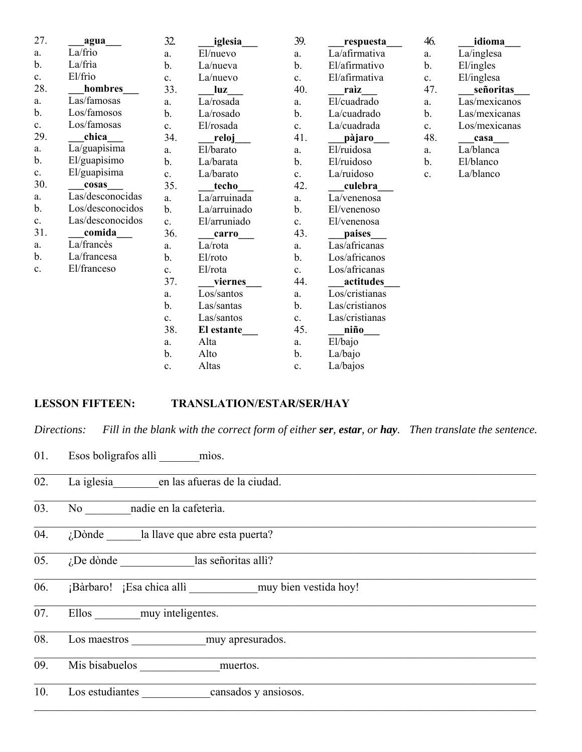| 27.           | agua             | 32.            | iglesia      | 39.            | respuesta      | 46.           | idioma        |
|---------------|------------------|----------------|--------------|----------------|----------------|---------------|---------------|
| a.            | La/frìo          | a.             | El/nuevo     | a.             | La/afirmativa  | a.            | La/inglesa    |
| $b$ .         | La/frìa          | b.             | La/nueva     | b.             | El/afirmativo  | b.            | El/ingles     |
| c.            | El/frio          | c.             | La/nuevo     | c.             | El/afirmativa  | c.            | El/inglesa    |
| 28.           | hombres          | 33.            | luz          | 40.            | raìz           | 47.           | señoritas     |
| a.            | Las/famosas      | a.             | La/rosada    | a.             | El/cuadrado    | a.            | Las/mexicanos |
| $b$ .         | Los/famosos      | b.             | La/rosado    | b.             | La/cuadrado    | $\mathbf b$ . | Las/mexicanas |
| c.            | Los/famosas      | c.             | El/rosada    | $\mathbf{c}$ . | La/cuadrada    | c.            | Los/mexicanas |
| 29.           | chica            | 34.            | reloj        | 41.            | pàjaro         | 48.           | casa          |
| a.            | La/guapisima     | a.             | El/barato    | a.             | El/ruidosa     | a.            | La/blanca     |
| b.            | El/guapisimo     | b.             | La/barata    | b.             | El/ruidoso     | b.            | El/blanco     |
| c.            | El/guapisima     | c.             | La/barato    | c.             | La/ruidoso     | c.            | La/blanco     |
| 30.           | cosas            | 35.            | techo        | 42.            | culebra        |               |               |
| a.            | Las/desconocidas | a.             | La/arruinada | a.             | La/venenosa    |               |               |
| b.            | Los/desconocidos | b.             | La/arruinado | $b$ .          | El/venenoso    |               |               |
| c.            | Las/desconocidos | c.             | El/arruniado | c.             | El/venenosa    |               |               |
| 31.           | comida           | 36.            | carro        | 43.            | paises         |               |               |
| a.            | La/francès       | a.             | La/rota      | a.             | Las/africanas  |               |               |
| $\mathbf b$ . | La/francesa      | b.             | El/roto      | b.             | Los/africanos  |               |               |
| c.            | El/franceso      | $\mathbf{c}$ . | El/rota      | c.             | Los/africanas  |               |               |
|               |                  | 37.            | viernes      | 44.            | actitudes      |               |               |
|               |                  | a.             | Los/santos   | a.             | Los/cristianas |               |               |
|               |                  | b.             | Las/santas   | b.             | Las/cristianos |               |               |
|               |                  | c.             | Las/santos   | c.             | Las/cristianas |               |               |
|               |                  | 38.            | El estante   | 45.            | niño           |               |               |
|               |                  | a.             | Alta         | a.             | El/bajo        |               |               |
|               |                  | b.             | Alto         | b.             | La/bajo        |               |               |
|               |                  | c.             | Altas        | c.             | La/bajos       |               |               |

# **LESSON FIFTEEN: TRANSLATION/ESTAR/SER/HAY**

*Directions: Fill in the blank with the correct form of either ser, estar, or hay. Then translate the sentence.*

 $\_$  , and the contribution of the contribution of the contribution of the contribution of the contribution of  $\mathcal{L}_\text{max}$ 

- 01. Esos bolìgrafos allì mìos.
- 02. La iglesia en las afueras de la ciudad.
- 03. No nadie en la cafeterìa.
- $\overline{04.}$  *i*Dònde la llave que abre esta puerta?
- 05.  $i$ De dònde  $\qquad$  las señoritas allì?
- 06. **i**Bàrbaro! **i**Esa chica allì muy bien vestida hoy!
- 07. Ellos muy inteligentes.
- 08. Los maestros muy apresurados.
- 09. Mis bisabuelos \_\_\_\_\_\_\_\_\_\_\_\_\_\_muertos.
- 10. Los estudiantes cansados y ansiosos.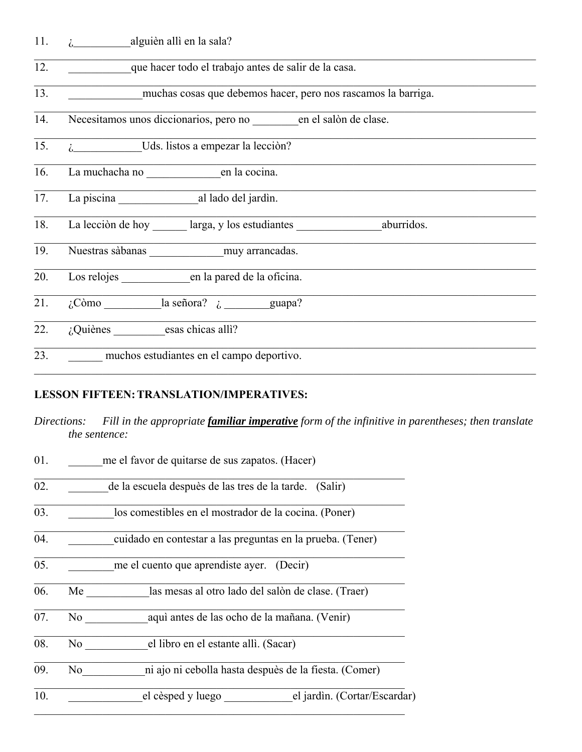11. ¿\_\_\_\_\_\_\_\_\_\_alguièn allì en la sala?

| 12. |  |  | que hacer todo el trabajo antes de salir de la casa. |
|-----|--|--|------------------------------------------------------|
|     |  |  |                                                      |

13. **Interest muchas cosas que debemos hacer**, pero nos rascamos la barriga.

14. Necesitamos unos diccionarios, pero no en el salòn de clase.

- 15. *i*, Uds. listos a empezar la lecciòn?
- 16. La muchacha no <u>entre del corte del permette del corte del corte del corte del corte del corte del corte del corte del corte del corte del corte del corte del corte del corte del corte del corte del corte del corte del</u>
- 17. La piscina \_\_\_\_\_\_\_\_\_\_\_\_\_\_al lado del jardìn.
- 18. La lecciòn de hoy larga, y los estudiantes aburridos.
- 19. Nuestras sàbanas \_\_\_\_\_\_\_\_\_\_\_\_\_muy arrancadas.
- 20. Los relojes en la pared de la oficina.
- 21.  $\sqrt{c}$ òmo la señora?  $\sqrt{c}$  guapa?
- $\overline{22.}$  *i*, Quiènes esas chicas allì?
- 23. \_\_\_\_\_\_ muchos estudiantes en el campo deportivo.

## **LESSON FIFTEEN: TRANSLATION/IMPERATIVES:**

*Directions: Fill in the appropriate familiar imperative form of the infinitive in parentheses; then translate the sentence:*

| 01. |     | me el favor de quitarse de sus zapatos. (Hacer)            |                              |
|-----|-----|------------------------------------------------------------|------------------------------|
| 02. |     | de la escuela despuès de las tres de la tarde. (Salir)     |                              |
| 03. |     | los comestibles en el mostrador de la cocina. (Poner)      |                              |
| 04. |     | cuidado en contestar a las preguntas en la prueba. (Tener) |                              |
| 05. |     | me el cuento que aprendiste ayer. (Decir)                  |                              |
| 06. | Me  | las mesas al otro lado del salòn de clase. (Traer)         |                              |
| 07. | No  | aqui antes de las ocho de la mañana. (Venir)               |                              |
| 08. | No  | el libro en el estante allì. (Sacar)                       |                              |
| 09. | No. | ni ajo ni cebolla hasta despuès de la fiesta. (Comer)      |                              |
| 10. |     | el cèsped y luego                                          | el jardìn. (Cortar/Escardar) |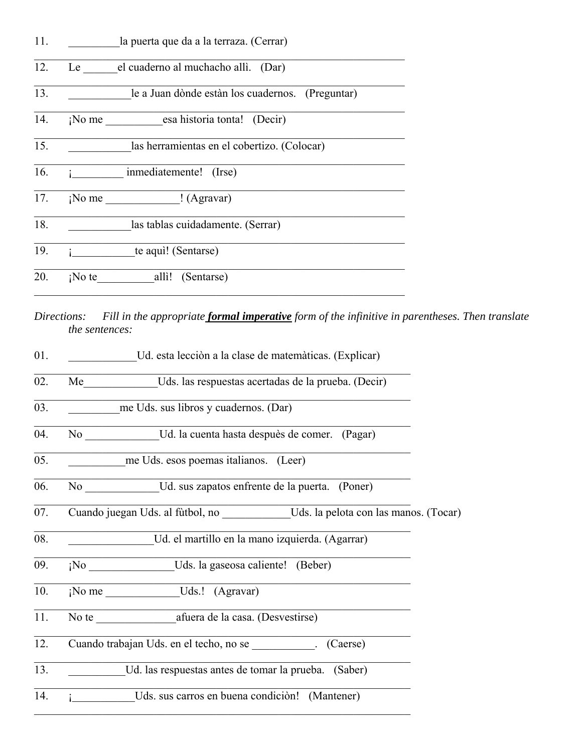| 11. | la puerta que da a la terraza. (Cerrar)               |
|-----|-------------------------------------------------------|
| 12. | Le el cuaderno al muchacho allì. (Dar)                |
| 13. | le a Juan dònde estàn los cuadernos. (Preguntar)      |
| 14. | ¡No me esa historia tonta! (Decir)                    |
| 15. | las herramientas en el cobertizo. (Colocar)           |
| 16. | inmediatemente! (Irse)                                |
| 17. | $\mathbb{R}^N$ No me $\qquad \qquad \text{(Agravar)}$ |
| 18. | las tablas cuidadamente. (Serrar)                     |
| 19. | te aqui! (Sentarse)                                   |
| 20. | ¡No te<br>alli! (Sentarse)                            |

*Directions: Fill in the appropriate formal imperative form of the infinitive in parentheses. Then translate the sentences:*

| 01. | Ud. esta lección a la clase de matemàticas. (Explicar)                                |
|-----|---------------------------------------------------------------------------------------|
| 02. | Me Uds. las respuestas acertadas de la prueba. (Decir)                                |
| 03. | me Uds. sus libros y cuadernos. (Dar)                                                 |
| 04. | No Ud. la cuenta hasta despuès de comer. (Pagar)                                      |
| 05. | me Uds. esos poemas italianos. (Leer)                                                 |
| 06. | No Ud. sus zapatos enfrente de la puerta. (Poner)                                     |
| 07. | Cuando juegan Uds. al fùtbol, no _______________Uds. la pelota con las manos. (Tocar) |
| 08. | Ud. el martillo en la mano izquierda. (Agarrar)                                       |
| 09. | ¡No Uds. la gaseosa caliente! (Beber)                                                 |
| 10. | ¡No me ______________Uds.! (Agravar)                                                  |
| 11. | No te afuera de la casa. (Desvestirse)                                                |
| 12. | Cuando trabajan Uds. en el techo, no se [Caerse] (Caerse)                             |
| 13. | Ud. las respuestas antes de tomar la prueba. (Saber)                                  |
| 14. | Uds. sus carros en buena condición! (Mantener)                                        |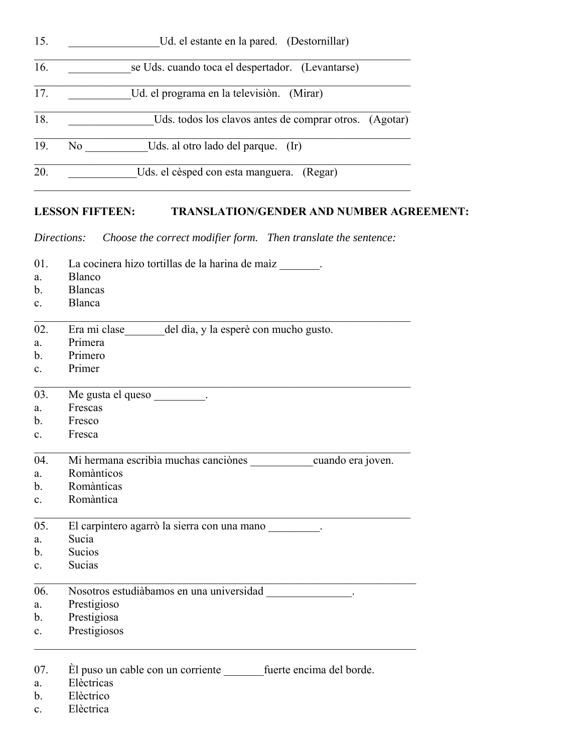| 15. | Ud. el estante en la pared. (Destornillar)             |
|-----|--------------------------------------------------------|
| 16. | se Uds. cuando toca el despertador. (Levantarse)       |
| 17. | Ud. el programa en la televisión. (Mirar)              |
| 18. | Uds. todos los clavos antes de comprar otros. (Agotar) |
| 19. | Uds. al otro lado del parque. (Ir)<br>No               |
| 20. | Uds. el cèsped con esta manguera. (Regar)              |

# **LESSON FIFTEEN: TRANSLATION/GENDER AND NUMBER AGREEMENT:**

*Directions: Choose the correct modifier form. Then translate the sentence:*

| 01.              | La cocinera hizo tortillas de la harina de maiz _______.   |
|------------------|------------------------------------------------------------|
| a.               | Blanco                                                     |
| $\mathbf{b}$ .   | <b>Blancas</b>                                             |
| $c_{\cdot}$      | Blanca                                                     |
| 02.              | Era mi clase del dìa, y la esperè con mucho gusto.         |
| a.               | Primera                                                    |
| b.               | Primero                                                    |
| c.               | Primer                                                     |
| 03.              | Me gusta el queso __________.                              |
| a.               | Frescas                                                    |
| $\mathbf{b}$ .   | Fresco                                                     |
| c.               | Fresca                                                     |
| 04.              | Mi hermana escribìa muchas canciònes cuando era joven.     |
| a.               | Romànticos                                                 |
| $\mathbf{b}$ .   | Romànticas                                                 |
| $\mathbf{c}$ .   | Romàntica                                                  |
| 0.5 <sub>1</sub> | El carpintero agarrò la sierra con una mano                |
| a.               | Sucia                                                      |
| b.               | <b>Sucios</b>                                              |
| $\mathbf{c}$ .   | Sucias                                                     |
| 06.              | Nosotros estudiàbamos en una universidad en el partidad.   |
| a.               | Prestigioso                                                |
| b.               | Prestigiosa                                                |
| $\mathbf{c}$ .   | Prestigiosos                                               |
|                  |                                                            |
| 07.              | El puso un cable con un corriente fuerte encima del borde. |
| a.               | Elèctricas                                                 |
| b.               | Elèctrico                                                  |

c. Elèctrica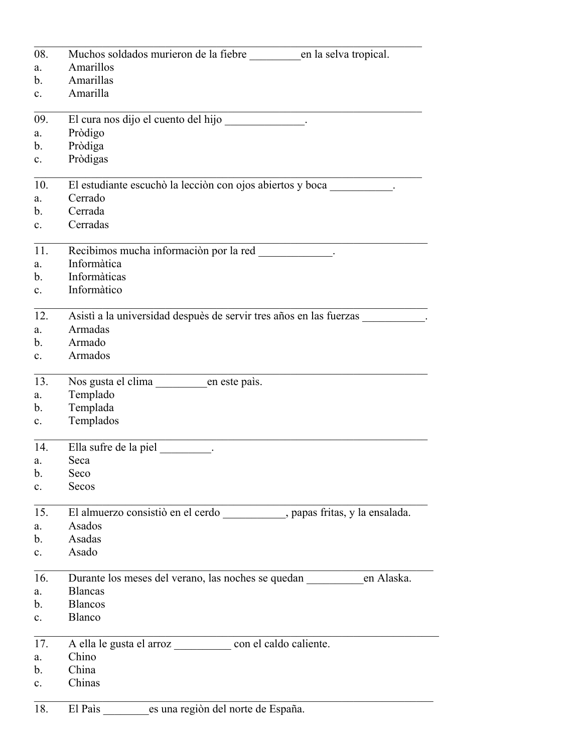| 08.            | Muchos soldados murieron de la fiebre en la selva tropical.               |
|----------------|---------------------------------------------------------------------------|
| a.             | Amarillos                                                                 |
| b.             | Amarillas                                                                 |
| $\mathbf{c}$ . | Amarilla                                                                  |
| 09.            | El cura nos dijo el cuento del hijo                                       |
| a.             | Pròdigo                                                                   |
| b.             | Pròdiga                                                                   |
| $c_{\cdot}$    | Pròdigas                                                                  |
| 10.            | El estudiante escuchò la lecciòn con ojos abiertos y boca                 |
| a.             | Cerrado                                                                   |
| $\mathbf{b}$ . | Cerrada                                                                   |
| $\mathbf{c}$ . | Cerradas                                                                  |
| 11.            | Recibimos mucha información por la red<br>.                               |
| a.             | Informàtica                                                               |
| $\mathbf{b}$ . | Informàticas                                                              |
| $c_{\cdot}$    | Informàtico                                                               |
| 12.            | Asistì a la universidad despuès de servir tres años en las fuerzas        |
| a.             | Armadas                                                                   |
| b.             | Armado                                                                    |
| $\mathbf{c}$ . | Armados                                                                   |
| 13.            | Nos gusta el clima en este país.                                          |
| a.             | Templado                                                                  |
| b.             | Templada                                                                  |
| $c_{\cdot}$    | Templados                                                                 |
| 14.            | Ella sufre de la piel                                                     |
| a.             | Seca                                                                      |
| b.             | Seco                                                                      |
| $\mathbf{c}$ . | Secos                                                                     |
| 15.            | El almuerzo consistió en el cerdo _________, papas fritas, y la ensalada. |
| a.             | Asados                                                                    |
| b.             | Asadas                                                                    |
| $\mathbf{c}$ . | Asado                                                                     |
| 16.            | en Alaska.                                                                |
| a.             | <b>Blancas</b>                                                            |
| b.             | <b>Blancos</b>                                                            |
| $c_{\cdot}$    | Blanco                                                                    |
| 17.            | A ella le gusta el arroz _________________ con el caldo caliente.         |
| a.             | Chino                                                                     |
| b.             | China                                                                     |
| $c_{\cdot}$    | Chinas                                                                    |
| 18.            | El País es una región del norte de España.                                |
|                |                                                                           |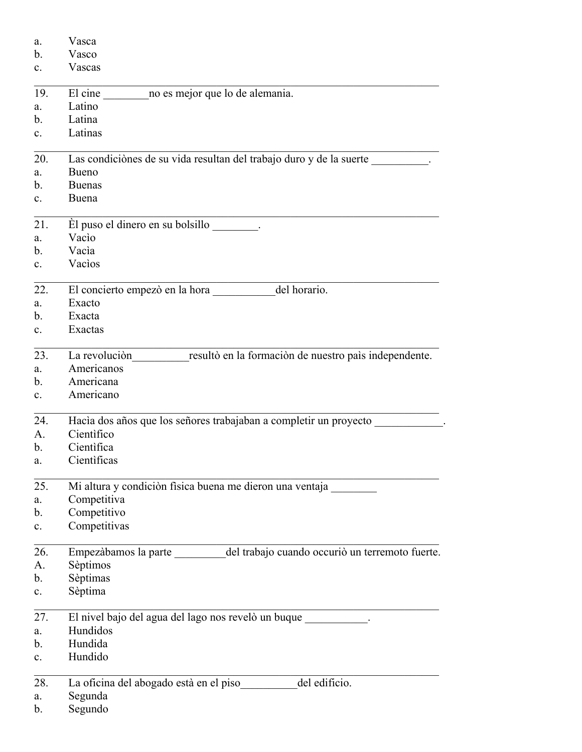| a.             | Vasca                                                                          |  |
|----------------|--------------------------------------------------------------------------------|--|
| $\mathbf{b}$ . | Vasco                                                                          |  |
| $\mathbf{c}$ . | Vascas                                                                         |  |
| 19.            | no es mejor que lo de alemania.<br>El cine                                     |  |
| a.             | Latino                                                                         |  |
| b.             | Latina                                                                         |  |
| $\mathbf{c}$ . | Latinas                                                                        |  |
| 20.            | Las condiciònes de su vida resultan del trabajo duro y de la suerte            |  |
| a.             | Bueno                                                                          |  |
| b.             | <b>Buenas</b>                                                                  |  |
| $\mathbf{c}$ . | Buena                                                                          |  |
| 21.            | $\dot{E}$ l puso el dinero en su bolsillo $\qquad \qquad$ .                    |  |
| a.             | Vacio                                                                          |  |
| b.             | Vacia                                                                          |  |
| $\mathbf{c}$ . | Vacios                                                                         |  |
| 22.            | del horario.<br>El concierto empezò en la hora __                              |  |
| a.             | Exacto                                                                         |  |
| b.             | Exacta                                                                         |  |
| $\mathbf{c}$ . | Exactas                                                                        |  |
| 23.            | resultò en la formaciòn de nuestro paìs independente.<br>La revolución         |  |
| a.             | Americanos                                                                     |  |
| b.             | Americana                                                                      |  |
| $\mathbf{c}$ . | Americano                                                                      |  |
| 24.            | Hacìa dos años que los señores trabajaban a completir un proyecto              |  |
| A.             | Cientifico                                                                     |  |
| b.             | Cientìfica                                                                     |  |
| a.             | Cientificas                                                                    |  |
| 25.            | Mi altura y condiciòn fisica buena me dieron una ventaja                       |  |
| a.             | Competitiva                                                                    |  |
| b.             | Competitivo                                                                    |  |
| $\mathbf{c}$ . | Competitivas                                                                   |  |
| 26.            | Empezàbamos la parte _________ del trabajo cuando occuriò un terremoto fuerte. |  |
| A.             | Sèptimos                                                                       |  |
| b.             | Sèptimas                                                                       |  |
| $\mathbf{c}$ . | Sèptima                                                                        |  |
| 27.            | El nivel bajo del agua del lago nos revelò un buque __________.                |  |
| a.             | Hundidos                                                                       |  |
| b.             | Hundida                                                                        |  |
| $\mathbf{c}$ . | Hundido                                                                        |  |
| 28.            | La oficina del abogado està en el piso del edificio.                           |  |
| a.             | Segunda                                                                        |  |
| b.             | Segundo                                                                        |  |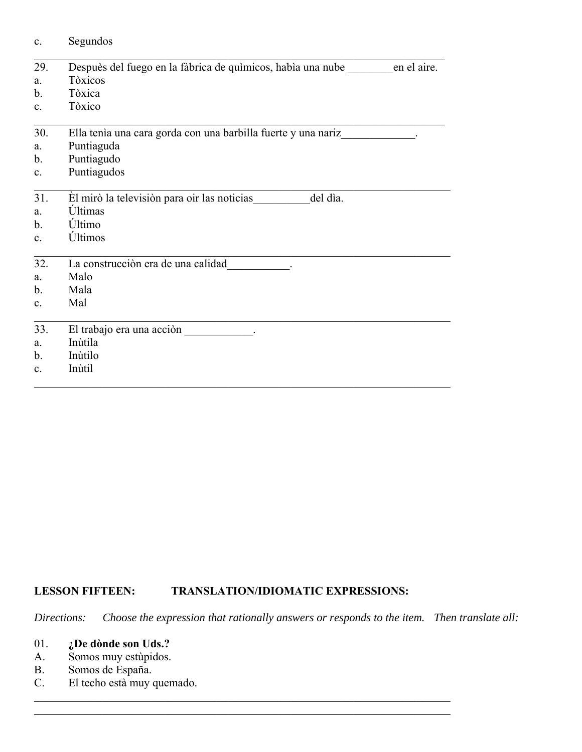| $\mathbf{c}$ . | Segundos                                                                |  |
|----------------|-------------------------------------------------------------------------|--|
| 29.            | Despuès del fuego en la fàbrica de químicos, había una nube en el aire. |  |
| a.             | Tòxicos                                                                 |  |
| $\mathbf{b}$ . | Tòxica                                                                  |  |
| $\mathbf{c}$ . | Tòxico                                                                  |  |
| 30.            | Ella tenía una cara gorda con una barbilla fuerte y una nariz           |  |
| a.             | Puntiaguda                                                              |  |
| $\mathbf{b}$ . | Puntiagudo                                                              |  |
| $\mathbf{c}$ . | Puntiagudos                                                             |  |
| 31.            | Èl mirò la televisiòn para oir las noticias<br>del dia.                 |  |
| a.             | Últimas                                                                 |  |
| $\mathbf{b}$ . | Último                                                                  |  |
| $\mathbf{c}$ . | Últimos                                                                 |  |
| 32.            | La construcción era de una calidad                                      |  |
| a.             | Malo                                                                    |  |
| $\mathbf{b}$ . | Mala                                                                    |  |
| $\mathbf{c}$ . | Mal                                                                     |  |
| 33.            |                                                                         |  |
| a.             | Inùtila                                                                 |  |
| $\mathbf{b}$ . | Inùtilo                                                                 |  |
| $\mathbf{c}$ . | Inùtil                                                                  |  |
|                |                                                                         |  |

# **LESSON FIFTEEN: TRANSLATION/IDIOMATIC EXPRESSIONS:**

*Directions: Choose the expression that rationally answers or responds to the item. Then translate all:* 

# 01. **¿De dònde son Uds.?**

- A. Somos muy estùpidos.
- B. Somos de España.
- C. El techo està muy quemado.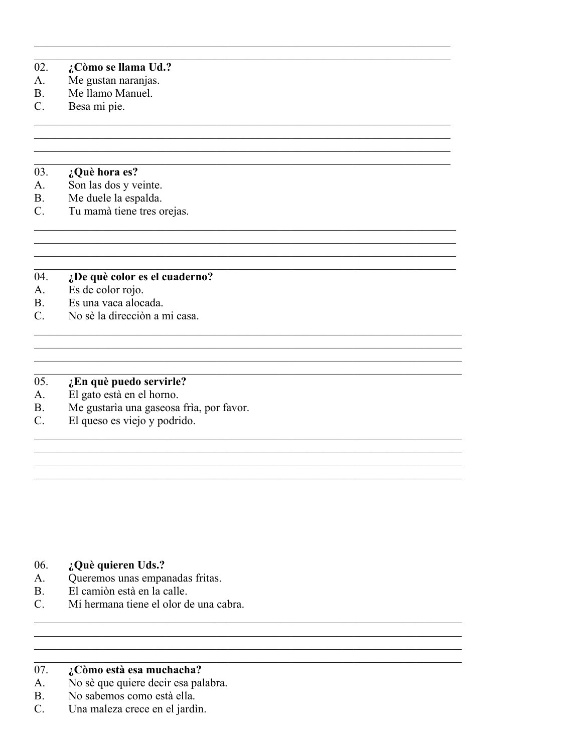### 02. ¿Còmo se llama Ud.?

- Me gustan naranjas.  $A<sub>1</sub>$
- Me llamo Manuel.  $\mathbf{B}$
- Besa mi pie.  $C_{\cdot}$

### 03. ¿Què hora es?

- Son las dos y veinte.  $A<sub>1</sub>$
- Me duele la espalda. **B.**
- Tu mamà tiene tres orejas.  $C_{\cdot}$

### $04.$ ¿De què color es el cuaderno?

<u> 1989 - Johann Stoff, deutscher Stoff, der Stoff, der Stoff, der Stoff, der Stoff, der Stoff, der Stoff, der S</u>

<u> 1989 - Johann Stoff, amerikansk politiker (d. 1989)</u>

- Es de color rojo.  $A<sub>1</sub>$
- **B.** Es una vaca alocada.
- No sè la dirección a mi casa.  $C_{\cdot}$

### 05. ¿En què puedo servirle?

- El gato està en el horno.  $A<sub>1</sub>$
- Me gustaría una gaseosa fría, por favor. **B.**
- El queso es viejo y podrido.  $C_{\cdot}$

- 06. ¿Què quieren Uds.?
- Queremos unas empanadas fritas. A.
- El camión està en la calle.  $B<sub>1</sub>$
- Mi hermana tiene el olor de una cabra.  $C_{\cdot}$

### 07. ¿Còmo està esa muchacha?

- No sè que quiere decir esa palabra.  $A<sub>1</sub>$
- No sabemos como està ella. **B.**
- $C_{\cdot}$ Una maleza crece en el jardin.